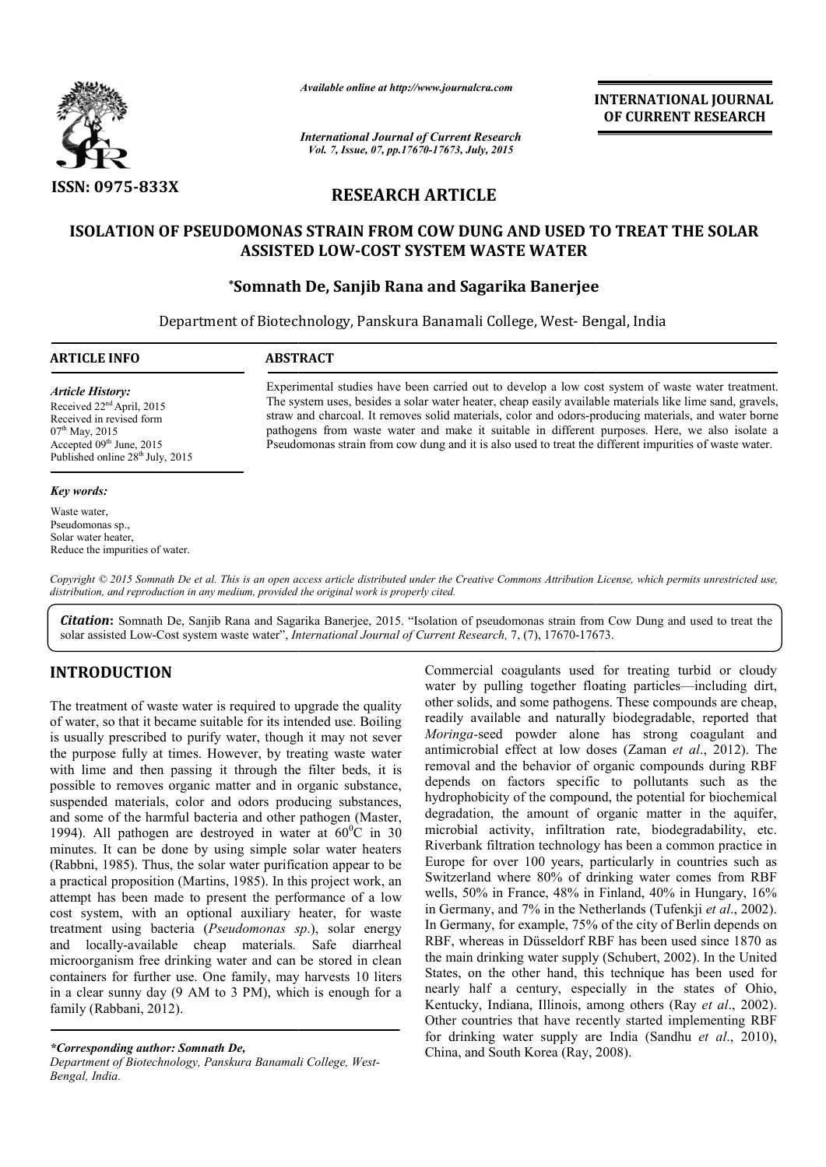

*Available online at http://www.journalcra.com*

**INTERNATIONAL INTERNATIONAL JOURNAL OF CURRENT RESEARCH** 

*International Journal of Current Research Vol. 7, Issue, 07, pp.17670-17673, July, 2015*

# **RESEARCH ARTICLE**

# **ISOLATION OF PSEUDOMONAS STRAIN FROM COW DUNG AND USED TO TREAT THE SOLAR DUNG AND ASSISTED LOW LOW-COST SYSTEM WASTE WATER**

# **\*Somnath De, Somnath Sanjib Rana and Sagarika Banerjee**

Department of Biotechnology, Panskura Banamali College, West- Bengal, India **-**

## **ARTICLE INFO ABSTRACT**

*Article History:* Received 22<sup>nd</sup> April, 2015 Received in revised form 07<sup>th</sup> May, 2015 Accepted 09<sup>th</sup> June, 2015

Published online  $28^{th}$  July, 2015

#### *Key words:*

Waste water, Pseudomonas sp., Solar water heater, Reduce the impurities of water. Experimental studies have been carried out to develop a low cost system of waste water treatment. The system uses, besides a solar water heater, cheap easily available materials like lime sand, gravels, straw and charcoal. It removes solid materials, color and odors-producing materials, and water borne pathogens from waste water and make it suitable in different purposes. Here, we also isolate a Pseudomonas strain from cow dung and it is also used to treat the different impurities of waste water. fall studies have been carried out to develop a low cost system of waste water treatment.<br>
uses, besides a solar water heater, cheap easily available materials like lime sand, gravels,<br>
charcoal. It removes solid materials

Copyright © 2015 Somnath De et al. This is an open access article distributed under the Creative Commons Attribution License, which permits unrestricted use, *distribution, and reproduction in any medium, provided the original work is properly cited.*

Citation: Somnath De, Sanjib Rana and Sagarika Banerjee, 2015. "Isolation of pseudomonas strain from Cow Dung and used to treat the solar assisted Low-Cost system waste water", *International Journal of Current Research*, 7, (7), 17670-17673.

# **INTRODUCTION**

The treatment of waste water is required to upgrade the quality of water, so that it became suitable for its intended use. Boiling is usually prescribed to purify water, though it may not sever the purpose fully at times. However, by treating waste water with lime and then passing it through the filter beds, it is possible to removes organic matter and in organic substance, suspended materials, color and odors producing substances, and some of the harmful bacteria and other pathogen (Master, 1994). All pathogen are destroyed in water at  $60^{\circ}$ C in 30 minutes. It can be done by using simple solar water heaters (Rabbni, 1985). Thus, the solar water purification appear to be a practical proposition (Martins, 1985). In this project work, an attempt has been made to present the performance of a low cost system, with an optional auxiliary heater, for waste cost system, with an optional auxiliary heater, for waste treatment using bacteria (*Pseudomonas sp*.), solar energy and locally-available cheap materials*.*  Safe diarrheal microorganism free drinking water and can be stored in clean containers for further use. One family, may harvests 10 liters in a clear sunny day (9 AM to 3 PM), which is enough for a family (Rabbani, 2012).

*\*Corresponding author: Somnath De,*

*Department of Biotechnology, Panskura Banamali College, West West-Bengal, India.*

Commercial coagulants used for treating turbid or cloudy Commercial coagulants used for treating turbid or cloudy water by pulling together floating particles—including dirt, other solids, and some pathogens. These compounds are cheap, readily available and naturally biodegradable, reported that *Moringa-*seed powder alone has strong coagulant and antimicrobial effect at low doses (Zaman et al., 2012). The removal and the behavior of organic compounds during RBF depends on factors specific to pollutants such as the hydrophobicity of the compound, the potential for biochemical degradation, the amount of organic matter in the aquifer, microbial activity, infiltration rate, biodegradability, etc. Riverbank filtration technology has been a common practice in Europe for over 100 years, particularly in countries such as Switzerland where 80% of drinking water comes from RBF wells, 50% in France, 48% in Finland, 40% in Hungary, 16% in Germany, and 7% in the Netherlands (Tufenkji et al., 2002). In Germany, for example, 75% of the city of Berlin depends on RBF, whereas in Düsseldorf RBF has been used since 1870 as In Germany, for example, 75% of the city of Berlin depends on RBF, whereas in Düsseldorf RBF has been used since 1870 as the main drinking water supply (Schubert, 2002). In the United States, on the other hand, this technique has been used for nearly half a century, especially in the states of Ohio, Kentucky, Indiana, Illinois, among others (Ray et al., 2002). Other countries that have recently started implementing RBF Other countries that have recently started implementing RBF for drinking water supply are India (Sandhu *et al.*, 2010), China, and South Korea (Ray, 2008 Ray, 2008). other solids, and some pathogens. These compounds are cheap, readily available and naturally biodegradable, reported that *Moringa*-seed powder alone has strong coagulant and antimicrobial effect at low doses (Zaman *et al* nd the behavior of organic compounds during RBF<br>on factors specific to pollutants such as the<br>bicity of the compound, the potential for biochemical degradation, the amount of organic matter in the aquifer, microbial activity, infiltration rate, biodegradability, etc. Riverbank filtration technology has been a common practice in Europe for over 100 years, particularly technique has been used for<br>ally in the states of Ohio,<br>ng others (Ray *et al.*, 2002).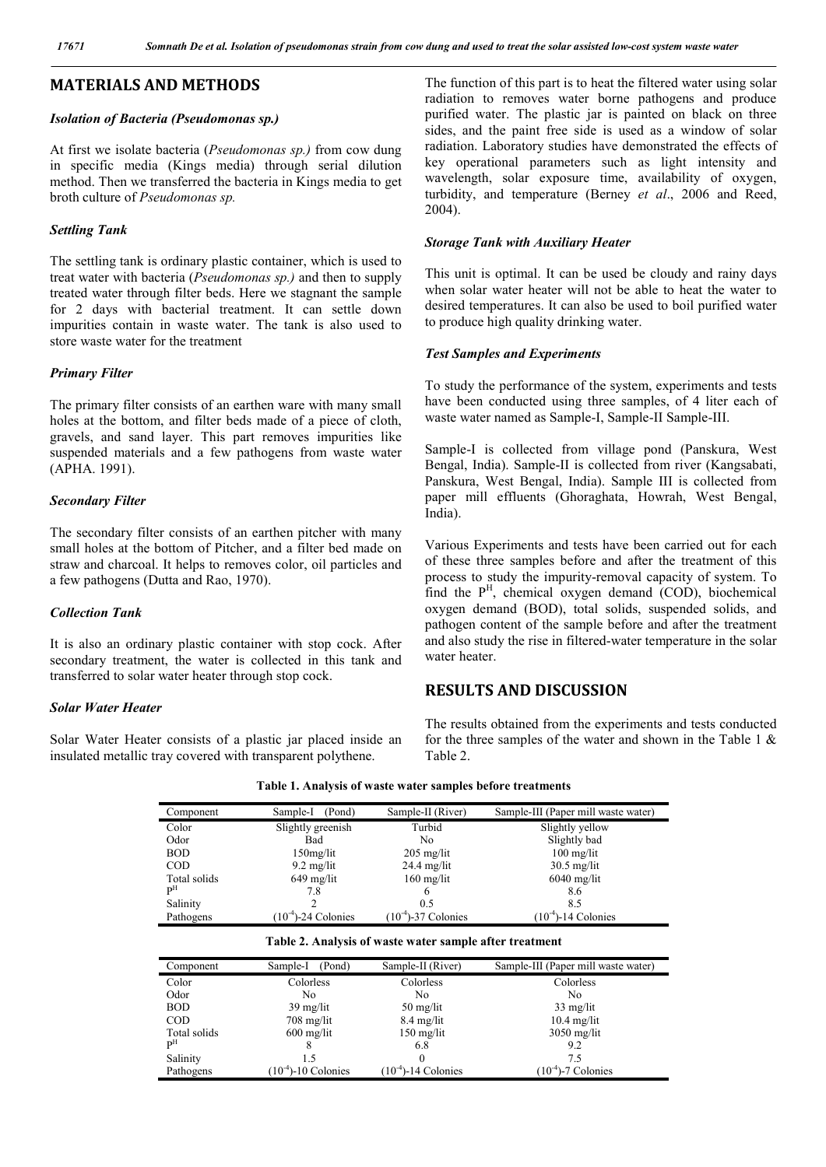# **MATERIALS AND METHODS**

#### *Isolation of Bacteria (Pseudomonas sp.)*

At first we isolate bacteria (*Pseudomonas sp.)* from cow dung in specific media (Kings media) through serial dilution method. Then we transferred the bacteria in Kings media to get broth culture of *Pseudomonas sp.*

### *Settling Tank*

The settling tank is ordinary plastic container, which is used to treat water with bacteria (*Pseudomonas sp.)* and then to supply treated water through filter beds. Here we stagnant the sample for 2 days with bacterial treatment. It can settle down impurities contain in waste water. The tank is also used to store waste water for the treatment

#### *Primary Filter*

The primary filter consists of an earthen ware with many small holes at the bottom, and filter beds made of a piece of cloth, gravels, and sand layer. This part removes impurities like suspended materials and a few pathogens from waste water (APHA. 1991).

#### *Secondary Filter*

The secondary filter consists of an earthen pitcher with many small holes at the bottom of Pitcher, and a filter bed made on straw and charcoal. It helps to removes color, oil particles and a few pathogens (Dutta and Rao, 1970).

## *Collection Tank*

It is also an ordinary plastic container with stop cock. After secondary treatment, the water is collected in this tank and transferred to solar water heater through stop cock.

### *Solar Water Heater*

Solar Water Heater consists of a plastic jar placed inside an insulated metallic tray covered with transparent polythene.

The function of this part is to heat the filtered water using solar radiation to removes water borne pathogens and produce purified water. The plastic jar is painted on black on three sides, and the paint free side is used as a window of solar radiation. Laboratory studies have demonstrated the effects of key operational parameters such as light intensity and wavelength, solar exposure time, availability of oxygen, turbidity, and temperature (Berney *et al*., 2006 and Reed, 2004).

#### *Storage Tank with Auxiliary Heater*

This unit is optimal. It can be used be cloudy and rainy days when solar water heater will not be able to heat the water to desired temperatures. It can also be used to boil purified water to produce high quality drinking water.

#### *Test Samples and Experiments*

To study the performance of the system, experiments and tests have been conducted using three samples, of 4 liter each of waste water named as Sample-I, Sample-II Sample-III.

Sample-I is collected from village pond (Panskura, West Bengal, India). Sample-II is collected from river (Kangsabati, Panskura, West Bengal, India). Sample III is collected from paper mill effluents (Ghoraghata, Howrah, West Bengal, India).

Various Experiments and tests have been carried out for each of these three samples before and after the treatment of this process to study the impurity-removal capacity of system. To find the P<sup>H</sup>, chemical oxygen demand (COD), biochemical oxygen demand (BOD), total solids, suspended solids, and pathogen content of the sample before and after the treatment and also study the rise in filtered-water temperature in the solar water heater.

## **RESULTS AND DISCUSSION**

The results obtained from the experiments and tests conducted for the three samples of the water and shown in the Table 1  $\&$ Table 2.

| Component    | Sample-I<br>(Pond)       | Sample-II (River)     | Sample-III (Paper mill waste water) |
|--------------|--------------------------|-----------------------|-------------------------------------|
| Color        | Slightly greenish        | Turbid                | Slightly yellow                     |
| Odor         | Bad                      | No                    | Slightly bad                        |
| <b>BOD</b>   | $150$ mg/lit             | $205$ mg/lit          | $100 \text{ mg/lit}$                |
| <b>COD</b>   | $9.2 \text{ mg/lit}$     | $24.4 \text{ mg/lit}$ | $30.5$ mg/lit                       |
| Total solids | $649$ mg/lit             | $160$ mg/lit          | $6040$ mg/lit                       |
| pН           | 7.8                      |                       | 8.6                                 |
| Salinity     |                          | 0.5                   | 8.5                                 |
| Pathogens    | $(10^{-4})$ -24 Colonies | $(10-4)-37$ Colonies  | 14 Colonies<br>$(10^{-4})$          |

**Table 1. Analysis of waste water samples before treatments**

|  |  |  | Table 2. Analysis of waste water sample after treatment |
|--|--|--|---------------------------------------------------------|
|  |  |  |                                                         |

| Component    | Sample-I<br>(Pond)       | Sample-II (River)                 | Sample-III (Paper mill waste water) |
|--------------|--------------------------|-----------------------------------|-------------------------------------|
| Color        | Colorless                | Colorless                         | Colorless                           |
| Odor         | No                       | No                                | No                                  |
| <b>BOD</b>   | $39 \text{ mg/lit}$      | $50 \frac{\text{mg}}{\text{lit}}$ | $33$ mg/lit                         |
| <b>COD</b>   | $708 \text{ mg/lit}$     | $8.4 \text{ mg/lit}$              | $10.4$ mg/lit                       |
| Total solids | $600$ mg/lit             | $150 \text{ mg/lit}$              | $3050$ mg/lit                       |
| $P^{\rm H}$  |                          | 6.8                               | 9.2                                 |
| Salinity     | 1.5                      | $\Omega$                          | 7.5                                 |
| Pathogens    | $(10^{-4})$ -10 Colonies | $(10^{-4})$ -14 Colonies          | $(10^{-4})$ -7 Colonies             |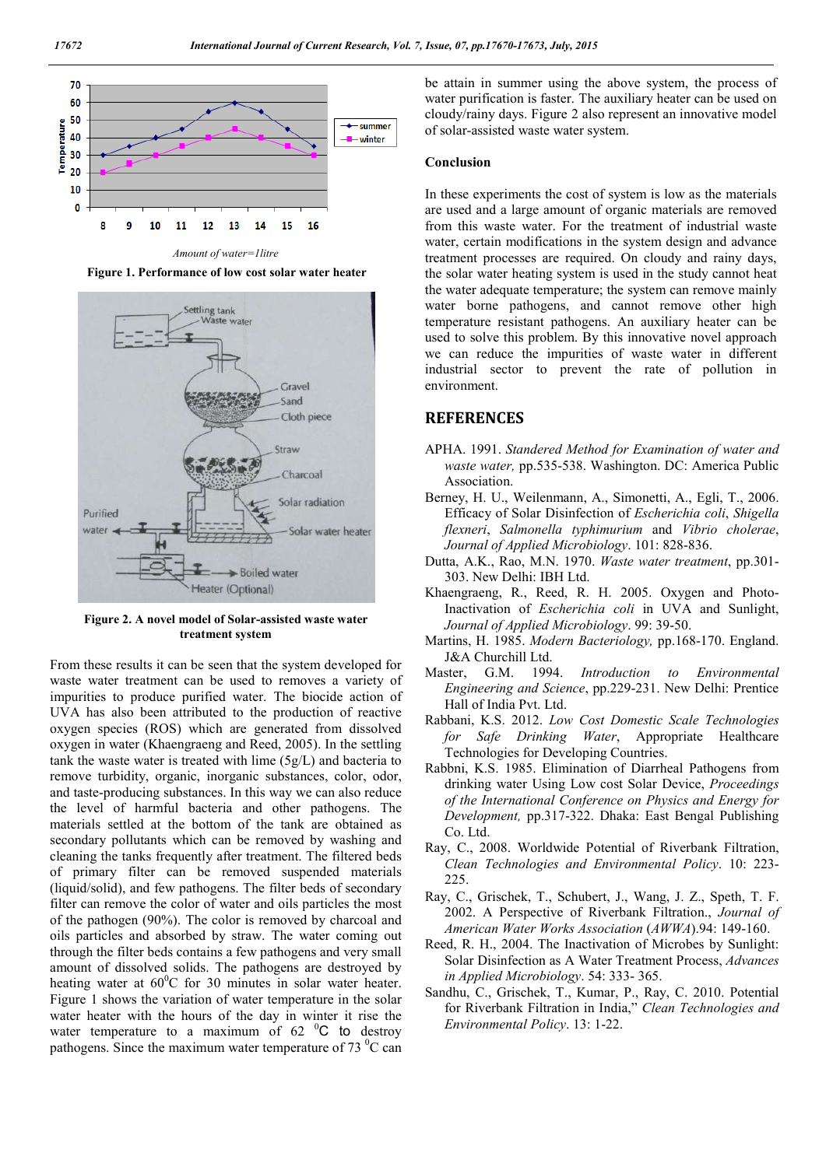

*Amount of water=1litre*

**Figure 1. Performance of low cost solar water heater**



**Figure 2. A novel model of Solar-assisted waste water treatment system**

From these results it can be seen that the system developed for waste water treatment can be used to removes a variety of impurities to produce purified water. The biocide action of UVA has also been attributed to the production of reactive oxygen species (ROS) which are generated from dissolved oxygen in water (Khaengraeng and Reed, 2005). In the settling tank the waste water is treated with lime (5g/L) and bacteria to remove turbidity, organic, inorganic substances, color, odor, and taste-producing substances. In this way we can also reduce the level of harmful bacteria and other pathogens. The materials settled at the bottom of the tank are obtained as secondary pollutants which can be removed by washing and cleaning the tanks frequently after treatment. The filtered beds of primary filter can be removed suspended materials (liquid/solid), and few pathogens. The filter beds of secondary filter can remove the color of water and oils particles the most of the pathogen (90%). The color is removed by charcoal and oils particles and absorbed by straw. The water coming out through the filter beds contains a few pathogens and very small amount of dissolved solids. The pathogens are destroyed by heating water at  $60^{\circ}$ C for 30 minutes in solar water heater. Figure 1 shows the variation of water temperature in the solar water heater with the hours of the day in winter it rise the water temperature to a maximum of  $62<sup>o</sup>C$  to destroy pathogens. Since the maximum water temperature of 73 $\mathrm{^{0}C}$  can be attain in summer using the above system, the process of water purification is faster. The auxiliary heater can be used on cloudy/rainy days. Figure 2 also represent an innovative model of solar-assisted waste water system.

#### **Conclusion**

In these experiments the cost of system is low as the materials are used and a large amount of organic materials are removed from this waste water. For the treatment of industrial waste water, certain modifications in the system design and advance treatment processes are required. On cloudy and rainy days, the solar water heating system is used in the study cannot heat the water adequate temperature; the system can remove mainly water borne pathogens, and cannot remove other high temperature resistant pathogens. An auxiliary heater can be used to solve this problem. By this innovative novel approach we can reduce the impurities of waste water in different industrial sector to prevent the rate of pollution in environment.

## **REFERENCES**

- APHA. 1991. *Standered Method for Examination of water and waste water,* pp.535-538. Washington. DC: America Public Association.
- Berney, H. U., Weilenmann, A., Simonetti, A., Egli, T., 2006. Efficacy of Solar Disinfection of *Escherichia coli*, *Shigella flexneri*, *Salmonella typhimurium* and *Vibrio cholerae*, *Journal of Applied Microbiology*. 101: 828-836.
- Dutta, A.K., Rao, M.N. 1970. *Waste water treatment*, pp.301- 303. New Delhi: IBH Ltd.
- Khaengraeng, R., Reed, R. H. 2005. Oxygen and Photo-Inactivation of *Escherichia coli* in UVA and Sunlight, *Journal of Applied Microbiology*. 99: 39-50.
- Martins, H. 1985. *Modern Bacteriology,* pp.168-170. England. J&A Churchill Ltd.
- Master, G.M. 1994. *Introduction to Environmental Engineering and Science*, pp.229-231. New Delhi: Prentice Hall of India Pvt. Ltd.
- Rabbani, K.S. 2012. *Low Cost Domestic Scale Technologies for Safe Drinking Water*, Appropriate Healthcare Technologies for Developing Countries.
- Rabbni, K.S. 1985. Elimination of Diarrheal Pathogens from drinking water Using Low cost Solar Device, *Proceedings of the International Conference on Physics and Energy for Development,* pp.317-322. Dhaka: East Bengal Publishing Co. Ltd.
- Ray, C., 2008. Worldwide Potential of Riverbank Filtration, *Clean Technologies and Environmental Policy*. 10: 223- 225.
- Ray, C., Grischek, T., Schubert, J., Wang, J. Z., Speth, T. F. 2002. A Perspective of Riverbank Filtration., *Journal of American Water Works Association* (*AWWA*).94: 149-160.
- Reed, R. H., 2004. The Inactivation of Microbes by Sunlight: Solar Disinfection as A Water Treatment Process, *Advances in Applied Microbiology*. 54: 333- 365.
- Sandhu, C., Grischek, T., Kumar, P., Ray, C. 2010. Potential for Riverbank Filtration in India," *Clean Technologies and Environmental Policy*. 13: 1-22.